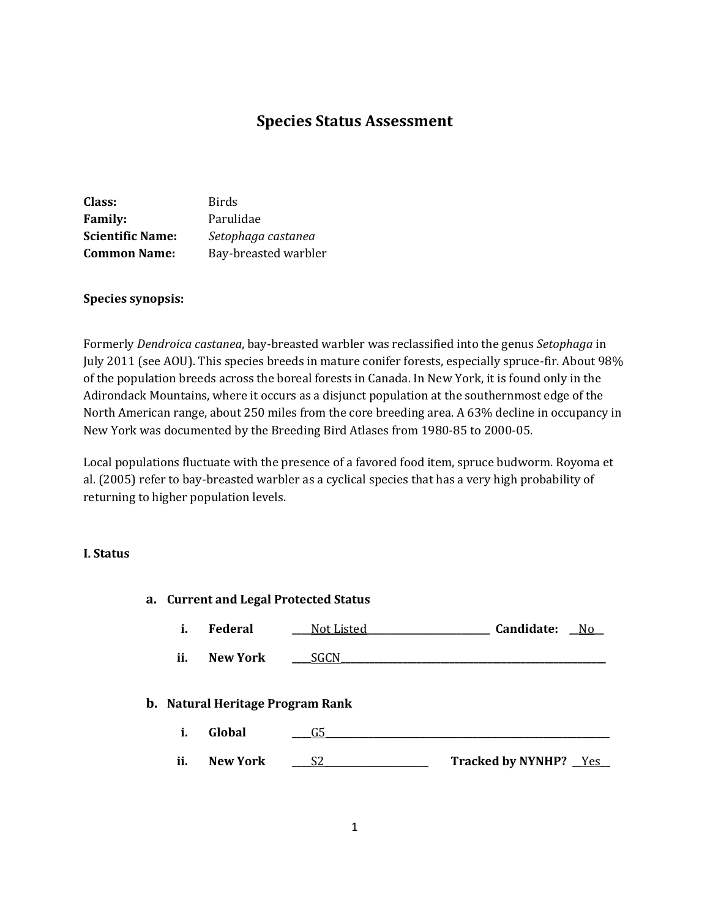# **Species Status Assessment**

| Class:                  | <b>Birds</b>         |
|-------------------------|----------------------|
| <b>Family:</b>          | Parulidae            |
| <b>Scientific Name:</b> | Setophaga castanea   |
| <b>Common Name:</b>     | Bay-breasted warbler |

### **Species synopsis:**

Formerly *Dendroica castanea*, bay-breasted warbler was reclassified into the genus *Setophaga* in July 2011 (see AOU). This species breeds in mature conifer forests, especially spruce-fir. About 98% of the population breeds across the boreal forests in Canada. In New York, it is found only in the Adirondack Mountains, where it occurs as a disjunct population at the southernmost edge of the North American range, about 250 miles from the core breeding area. A 63% decline in occupancy in New York was documented by the Breeding Bird Atlases from 1980-85 to 2000-05.

Local populations fluctuate with the presence of a favored food item, spruce budworm. Royoma et al. (2005) refer to bay-breasted warbler as a cyclical species that has a very high probability of returning to higher population levels.

#### **I. Status**

| a. Current and Legal Protected Status |                                                   |            |                              |             |
|---------------------------------------|---------------------------------------------------|------------|------------------------------|-------------|
| i.                                    | <b>Federal</b>                                    | Not Listed | Candidate:                   | $\sqrt{NQ}$ |
| ii.                                   | <b>New York</b>                                   | _SGCN      |                              |             |
| i.                                    | <b>b.</b> Natural Heritage Program Rank<br>Global | G5         |                              |             |
| ii.                                   | <b>New York</b>                                   | S2         | <b>Tracked by NYNHP?</b> Yes |             |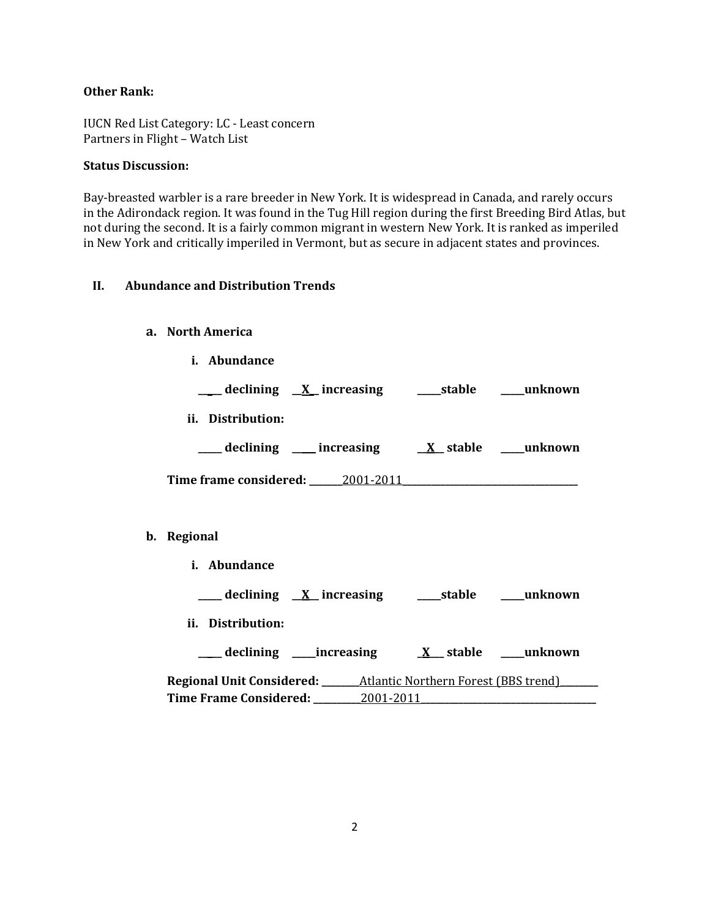# **Other Rank:**

IUCN Red List Category: LC - Least concern Partners in Flight – Watch List

### **Status Discussion:**

 $\mathbf{b}$ .

Bay-breasted warbler is a rare breeder in New York. It is widespread in Canada, and rarely occurs in the Adirondack region. It was found in the Tug Hill region during the first Breeding Bird Atlas, but not during the second. It is a fairly common migrant in western New York. It is ranked as imperiled in New York and critically imperiled in Vermont, but as secure in adjacent states and provinces.

# **II. Abundance and Distribution Trends**

#### **a. North America**

| ___ declining <u>X</u> increasing ____stable ____unknown              |
|-----------------------------------------------------------------------|
|                                                                       |
| ___ declining ___ increasing ___ ___ ___ ___ ___ ___ ___ unknown      |
|                                                                       |
|                                                                       |
|                                                                       |
|                                                                       |
| ___ declining <u>X</u> increasing _____stable ____unknown             |
|                                                                       |
|                                                                       |
|                                                                       |
|                                                                       |
| Regional Unit Considered: ______ Atlantic Northern Forest (BBS trend) |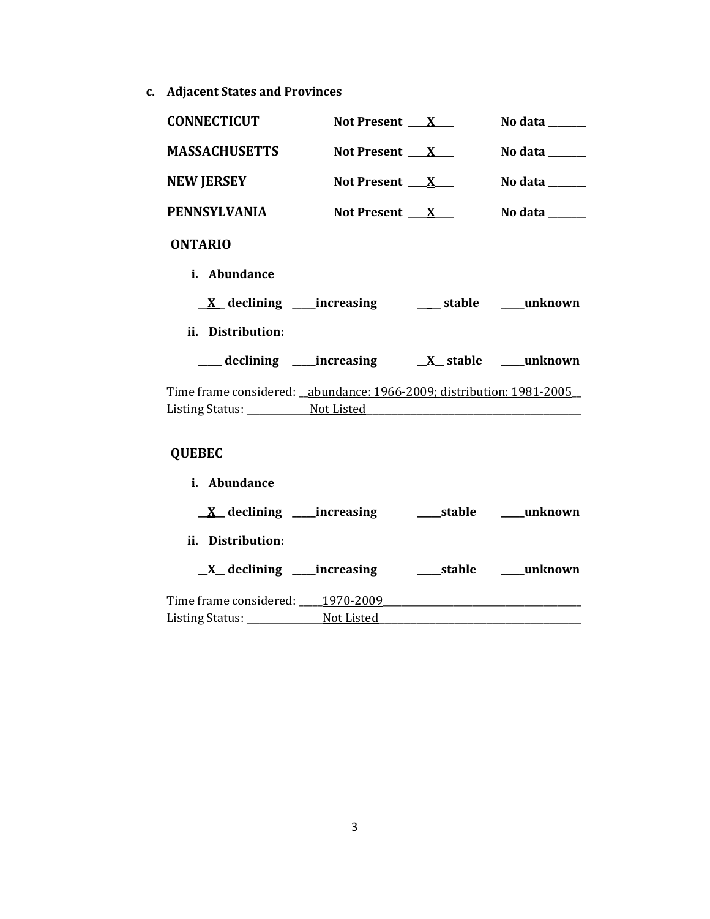**c. Adjacent States and Provinces**

| <b>CONNECTICUT</b>                                                    | Not Present $X_{-}$      | No data $\_\_\_\_\_\_\_\_\_\_\_\$   |
|-----------------------------------------------------------------------|--------------------------|-------------------------------------|
| <b>MASSACHUSETTS</b>                                                  | Not Present $\mathbf{X}$ | No data $\_\_\_\_\_\_\_\_\_\_\_\_\$ |
| <b>NEW JERSEY</b>                                                     | Not Present $X_{-}$      | No data $\_\_$                      |
| <b>PENNSYLVANIA</b>                                                   | Not Present $\mathbf{X}$ | No data ______                      |
| <b>ONTARIO</b>                                                        |                          |                                     |
| i. Abundance                                                          |                          |                                     |
| <u>X</u> declining ____increasing _______ stable _____unknown         |                          |                                     |
| ii. Distribution:                                                     |                          |                                     |
|                                                                       |                          |                                     |
| Time frame considered: _abundance: 1966-2009; distribution: 1981-2005 |                          |                                     |
|                                                                       |                          |                                     |
| <b>QUEBEC</b>                                                         |                          |                                     |

# **i. Abundance \_\_X\_\_ declining \_\_\_\_\_increasing \_\_\_\_\_stable \_\_\_\_\_unknown ii. Distribution: \_\_X\_\_ declining \_\_\_\_\_increasing \_\_\_\_\_stable \_\_\_\_\_unknown** Time frame considered: \_\_\_\_\_1970-2009\_\_\_\_\_\_\_\_\_\_\_\_\_\_\_\_\_\_\_\_\_\_\_\_\_\_\_\_\_\_\_\_\_\_\_\_\_\_\_\_\_\_ Listing Status: \_\_\_\_\_\_\_\_\_\_\_\_\_\_\_\_\_Not Listed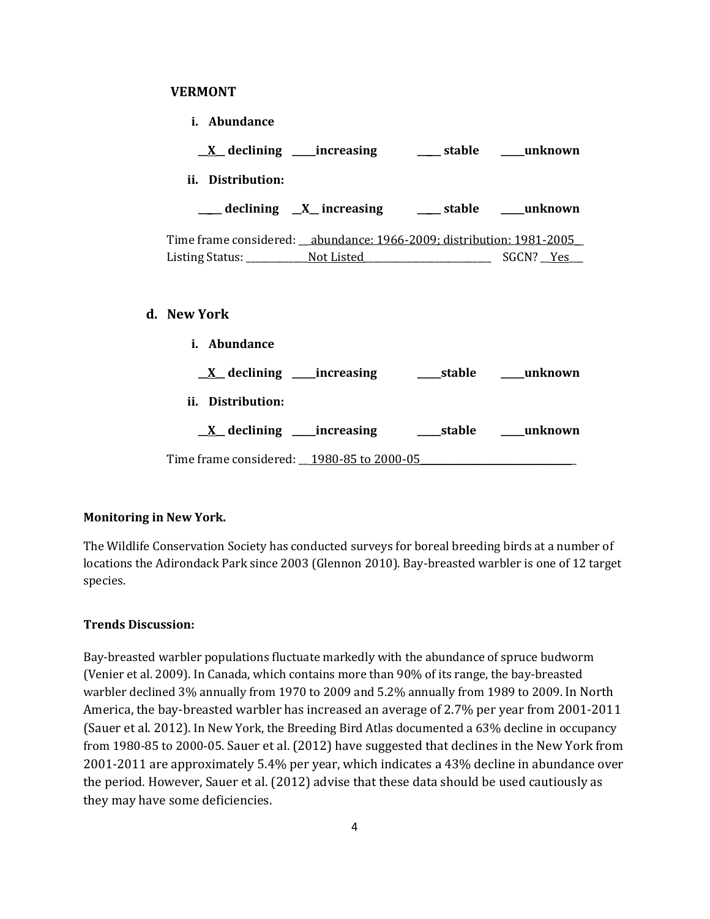#### **VERMONT**

| i. Abundance                                                            |  |
|-------------------------------------------------------------------------|--|
| <u>X</u> declining ____increasing ________ stable _____unknown          |  |
| ii. Distribution:                                                       |  |
| ___ declining _X_ increasing ____ stable ___ unknown                    |  |
| Time frame considered: __abundance: 1966-2009; distribution: 1981-2005_ |  |
|                                                                         |  |
| New York                                                                |  |
| <i>i.</i> Abundance                                                     |  |
|                                                                         |  |
| ii. Distribution:                                                       |  |
|                                                                         |  |
| Time frame considered: <u>__1980-85 to 2000-05</u>                      |  |

### **Monitoring in New York.**

**d. New York**

The Wildlife Conservation Society has conducted surveys for boreal breeding birds at a number of locations the Adirondack Park since 2003 (Glennon 2010). Bay-breasted warbler is one of 12 target species.

#### **Trends Discussion:**

Bay-breasted warbler populations fluctuate markedly with the abundance of spruce budworm (Venier et al. 2009). In Canada, which contains more than 90% of its range, the bay-breasted warbler declined 3% annually from 1970 to 2009 and 5.2% annually from 1989 to 2009. In North America, the bay-breasted warbler has increased an average of 2.7% per year from 2001-2011 (Sauer et al. 2012). In New York, the Breeding Bird Atlas documented a 63% decline in occupancy from 1980-85 to 2000-05. Sauer et al. (2012) have suggested that declines in the New York from 2001-2011 are approximately 5.4% per year, which indicates a 43% decline in abundance over the period. However, Sauer et al. (2012) advise that these data should be used cautiously as they may have some deficiencies.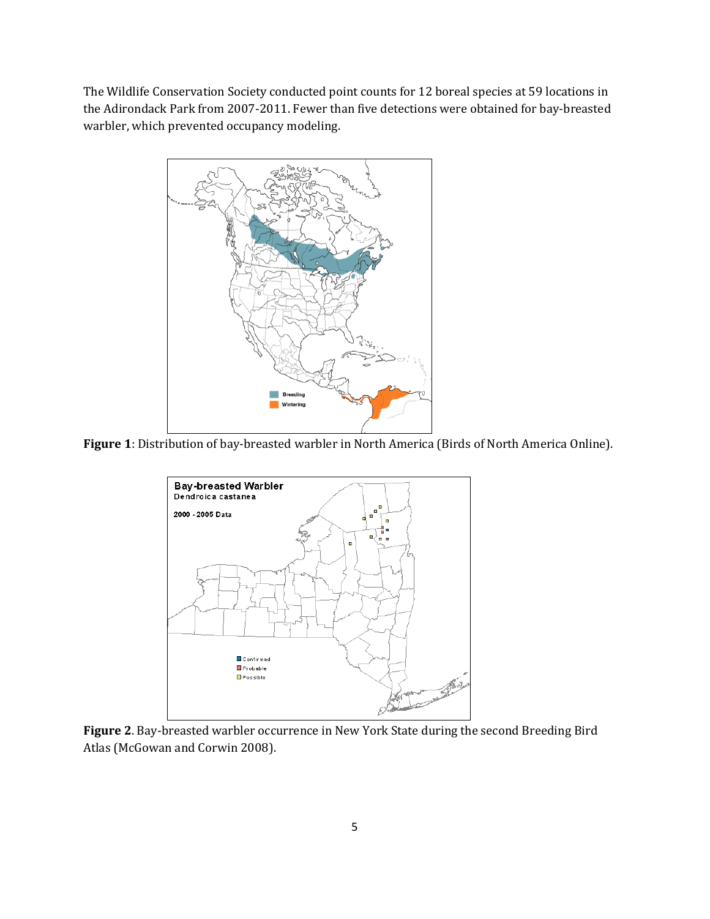The Wildlife Conservation Society conducted point counts for 12 boreal species at 59 locations in the Adirondack Park from 2007-2011. Fewer than five detections were obtained for bay-breasted warbler, which prevented occupancy modeling.



**Figure 1**: Distribution of bay-breasted warbler in North America (Birds of North America Online).



**Figure 2**. Bay-breasted warbler occurrence in New York State during the second Breeding Bird Atlas (McGowan and Corwin 2008).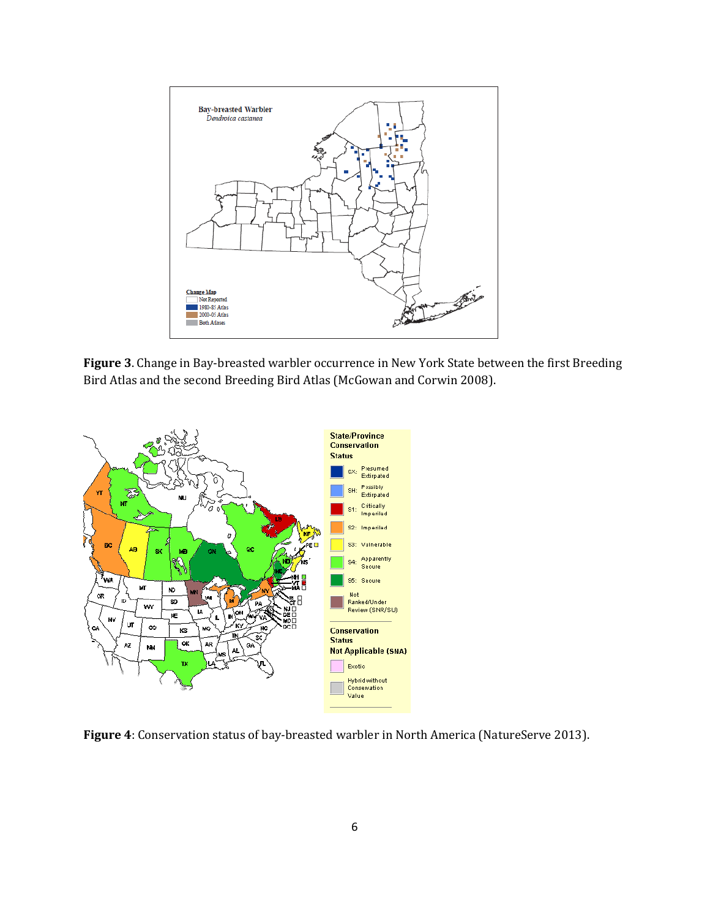

**Figure 3**. Change in Bay-breasted warbler occurrence in New York State between the first Breeding Bird Atlas and the second Breeding Bird Atlas (McGowan and Corwin 2008).



**Figure 4**: Conservation status of bay-breasted warbler in North America (NatureServe 2013).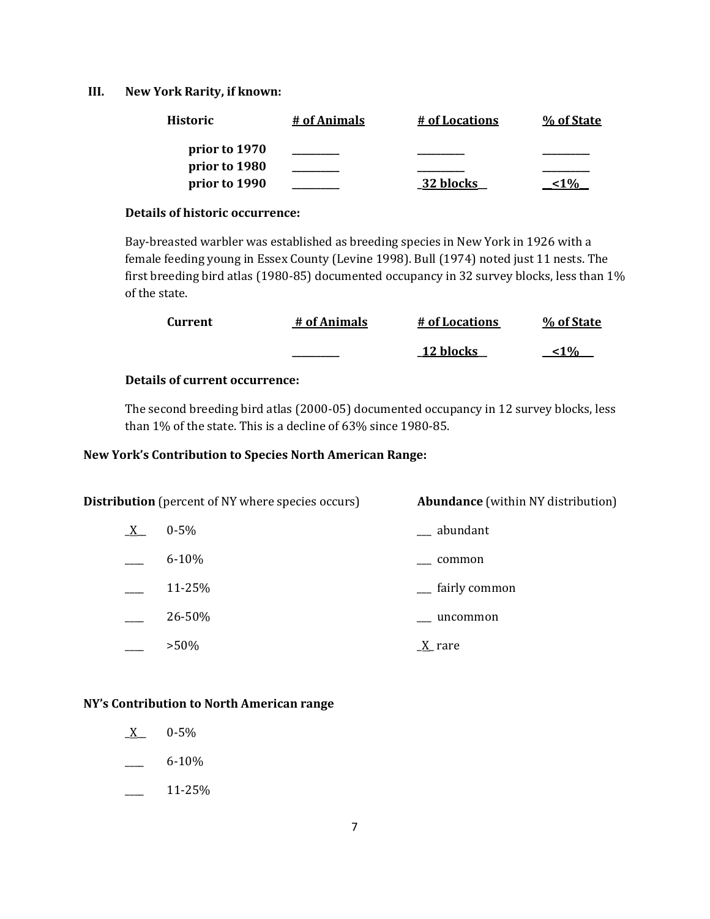#### **III. New York Rarity, if known:**

| <b>Historic</b> | # of Animals | # of Locations | % of State   |
|-----------------|--------------|----------------|--------------|
| prior to 1970   |              |                |              |
| prior to 1980   |              |                |              |
| prior to 1990   |              | 32 blocks      | $\mathbf{U}$ |

#### **Details of historic occurrence:**

Bay-breasted warbler was established as breeding species in New York in 1926 with a female feeding young in Essex County (Levine 1998). Bull (1974) noted just 11 nests. The first breeding bird atlas (1980-85) documented occupancy in 32 survey blocks, less than 1% of the state.

| Current | # of Animals | # of Locations | % of State |
|---------|--------------|----------------|------------|
|         |              | 12 blocks      | 10/2       |

# **Details of current occurrence:**

The second breeding bird atlas (2000-05) documented occupancy in 12 survey blocks, less than 1% of the state. This is a decline of 63% since 1980-85.

### **New York's Contribution to Species North American Range:**

| <b>Distribution</b> (percent of NY where species occurs) |           | <b>Abundance</b> (within NY distribution) |  |
|----------------------------------------------------------|-----------|-------------------------------------------|--|
| $X_{-}$                                                  | $0 - 5\%$ | __ abundant                               |  |
|                                                          | $6 - 10%$ | common                                    |  |
|                                                          | 11-25%    | <sub>__</sub> fairly common               |  |
|                                                          | 26-50%    | uncommon                                  |  |
|                                                          | $>50\%$   | $\underline{X}$ rare                      |  |

# **NY's Contribution to North American range**

- $X = 0.5\%$
- $-6-10\%$
- $\frac{11-25\%}{ }$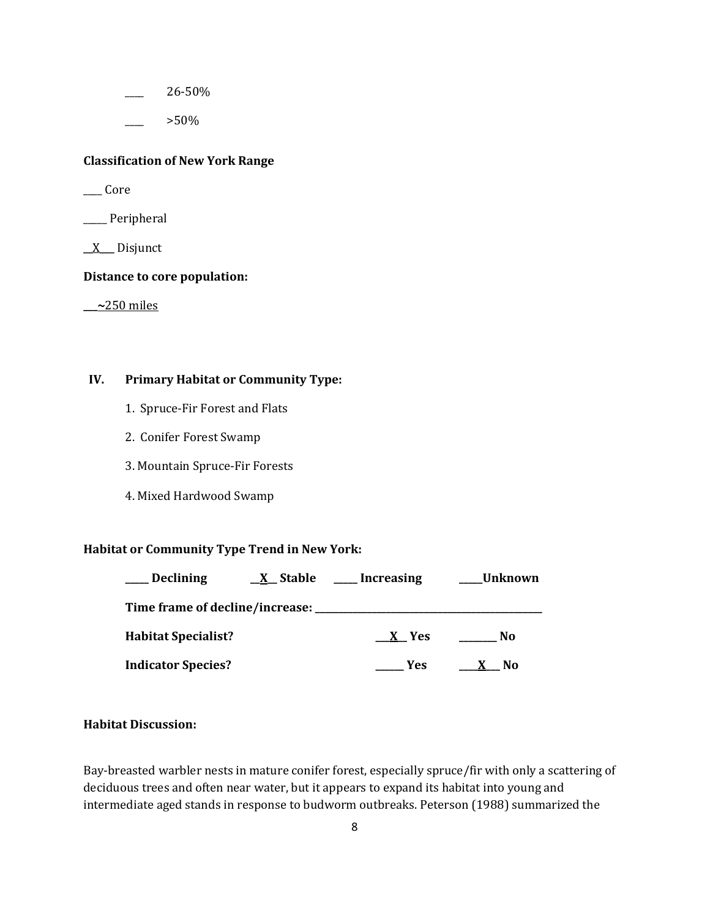\_\_\_\_ 26-50%

\_\_\_\_ >50%

# **Classification of New York Range**

\_\_\_\_ Core

\_\_\_\_\_ Peripheral

 $X$  Disjunct

#### **Distance to core population:**

**\_\_\_~**250 miles

# **IV. Primary Habitat or Community Type:**

- 1. Spruce-Fir Forest and Flats
- 2. Conifer Forest Swamp
- 3. Mountain Spruce-Fir Forests
- 4. Mixed Hardwood Swamp

# **Habitat or Community Type Trend in New York:**

| <b>Declining</b>           | $X$ Stable | Increasing | Unknown |
|----------------------------|------------|------------|---------|
|                            |            |            |         |
| <b>Habitat Specialist?</b> |            | X Yes      | No      |
| <b>Indicator Species?</b>  |            | <b>Yes</b> | No      |

# **Habitat Discussion:**

Bay-breasted warbler nests in mature conifer forest, especially spruce/fir with only a scattering of deciduous trees and often near water, but it appears to expand its habitat into young and intermediate aged stands in response to budworm outbreaks. Peterson (1988) summarized the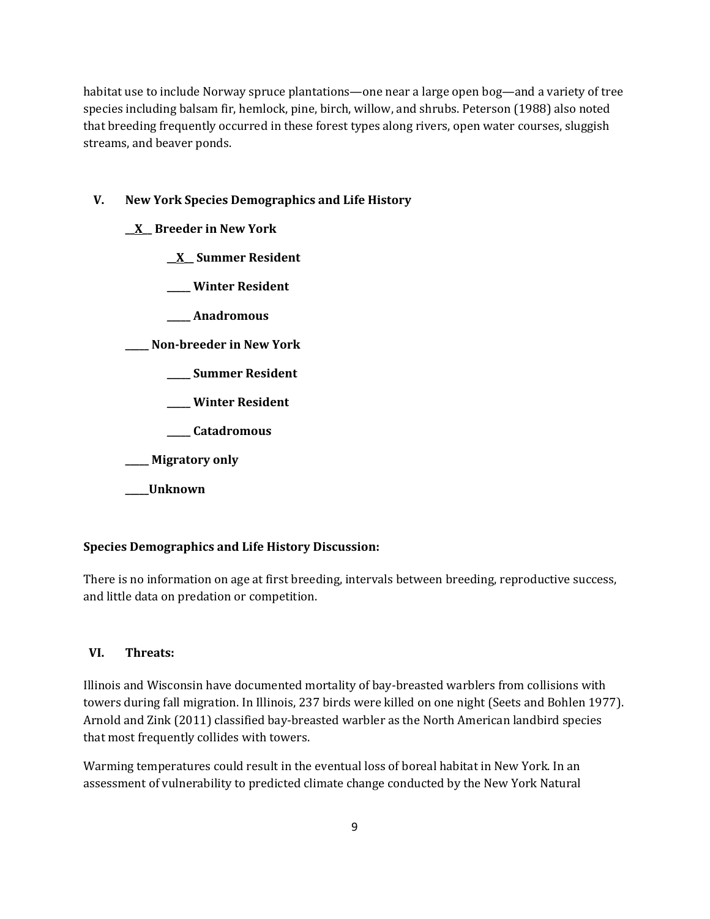habitat use to include Norway spruce plantations—one near a large open bog—and a variety of tree species including balsam fir, hemlock, pine, birch, willow, and shrubs. Peterson (1988) also noted that breeding frequently occurred in these forest types along rivers, open water courses, sluggish streams, and beaver ponds.

# **V. New York Species Demographics and Life History**

**\_\_X\_\_ Breeder in New York**

**\_\_X\_\_ Summer Resident**

**\_\_\_\_\_ Winter Resident**

**\_\_\_\_\_ Anadromous**

**\_\_\_\_\_ Non-breeder in New York**

- **\_\_\_\_\_ Summer Resident**
- **\_\_\_\_\_ Winter Resident**
- **\_\_\_\_\_ Catadromous**
- **\_\_\_\_\_ Migratory only**
- **\_\_\_\_\_Unknown**

#### **Species Demographics and Life History Discussion:**

There is no information on age at first breeding, intervals between breeding, reproductive success, and little data on predation or competition.

#### **VI. Threats:**

Illinois and Wisconsin have documented mortality of bay-breasted warblers from collisions with towers during fall migration. In Illinois, 237 birds were killed on one night (Seets and Bohlen 1977). Arnold and Zink (2011) classified bay-breasted warbler as the North American landbird species that most frequently collides with towers.

Warming temperatures could result in the eventual loss of boreal habitat in New York. In an assessment of vulnerability to predicted climate change conducted by the New York Natural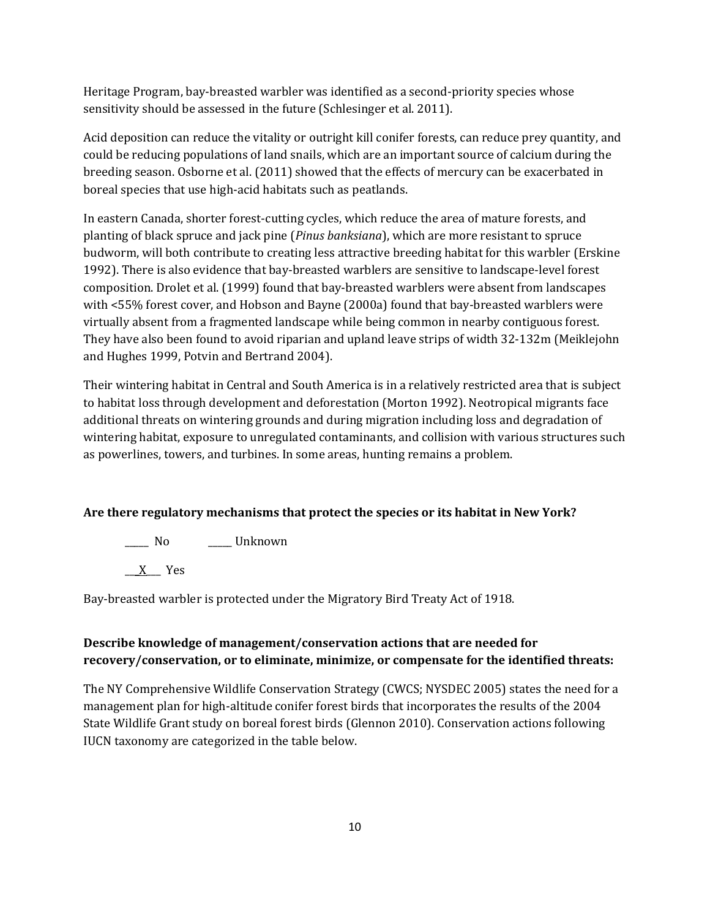Heritage Program, bay-breasted warbler was identified as a second-priority species whose sensitivity should be assessed in the future (Schlesinger et al. 2011).

Acid deposition can reduce the vitality or outright kill conifer forests, can reduce prey quantity, and could be reducing populations of land snails, which are an important source of calcium during the breeding season. Osborne et al. (2011) showed that the effects of mercury can be exacerbated in boreal species that use high-acid habitats such as peatlands.

In eastern Canada, shorter forest-cutting cycles, which reduce the area of mature forests, and planting of black spruce and jack pine (*Pinus banksiana*), which are more resistant to spruce budworm, will both contribute to creating less attractive breeding habitat for this warbler (Erskine 1992). There is also evidence that bay-breasted warblers are sensitive to landscape-level forest composition. Drolet et al. (1999) found that bay-breasted warblers were absent from landscapes with <55% forest cover, and Hobson and Bayne (2000a) found that bay-breasted warblers were virtually absent from a fragmented landscape while being common in nearby contiguous forest. They have also been found to avoid riparian and upland leave strips of width 32-132m (Meiklejohn and Hughes 1999, Potvin and Bertrand 2004).

Their wintering habitat in Central and South America is in a relatively restricted area that is subject to habitat loss through development and deforestation (Morton 1992). Neotropical migrants face additional threats on wintering grounds and during migration including loss and degradation of wintering habitat, exposure to unregulated contaminants, and collision with various structures such as powerlines, towers, and turbines. In some areas, hunting remains a problem.

# **Are there regulatory mechanisms that protect the species or its habitat in New York?**

\_\_\_\_\_ No \_\_\_\_\_ Unknown

\_\_\_X\_\_\_ Yes

Bay-breasted warbler is protected under the Migratory Bird Treaty Act of 1918.

# **Describe knowledge of management/conservation actions that are needed for recovery/conservation, or to eliminate, minimize, or compensate for the identified threats:**

The NY Comprehensive Wildlife Conservation Strategy (CWCS; NYSDEC 2005) states the need for a management plan for high-altitude conifer forest birds that incorporates the results of the 2004 State Wildlife Grant study on boreal forest birds (Glennon 2010). Conservation actions following IUCN taxonomy are categorized in the table below.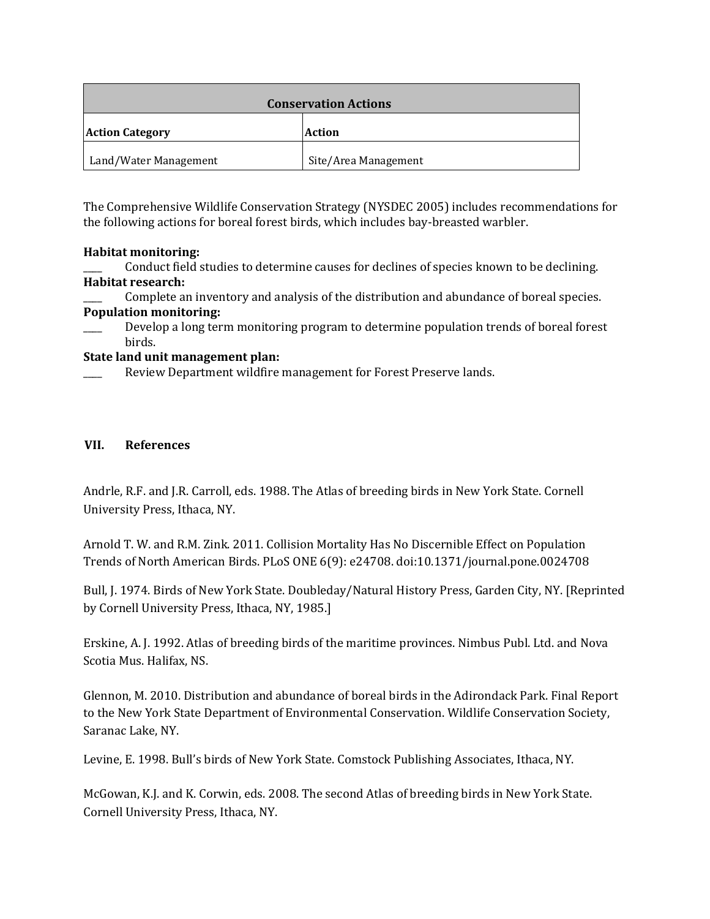| <b>Conservation Actions</b> |                      |
|-----------------------------|----------------------|
| <b>Action Category</b>      | Action               |
| Land/Water Management       | Site/Area Management |

The Comprehensive Wildlife Conservation Strategy (NYSDEC 2005) includes recommendations for the following actions for boreal forest birds, which includes bay-breasted warbler.

# **Habitat monitoring:**

Conduct field studies to determine causes for declines of species known to be declining. **Habitat research:**

Complete an inventory and analysis of the distribution and abundance of boreal species. **Population monitoring:**

Develop a long term monitoring program to determine population trends of boreal forest birds.

# **State land unit management plan:**

Review Department wildfire management for Forest Preserve lands.

# **VII. References**

Andrle, R.F. and J.R. Carroll, eds. 1988. The Atlas of breeding birds in New York State. Cornell University Press, Ithaca, NY.

Arnold T. W. and R.M. Zink. 2011. Collision Mortality Has No Discernible Effect on Population Trends of North American Birds. PLoS ONE 6(9): e24708. doi:10.1371/journal.pone.0024708

Bull, J. 1974. Birds of New York State. Doubleday/Natural History Press, Garden City, NY. [Reprinted by Cornell University Press, Ithaca, NY, 1985.]

Erskine, A. J. 1992. Atlas of breeding birds of the maritime provinces. Nimbus Publ. Ltd. and Nova Scotia Mus. Halifax, NS.

Glennon, M. 2010. Distribution and abundance of boreal birds in the Adirondack Park. Final Report to the New York State Department of Environmental Conservation. Wildlife Conservation Society, Saranac Lake, NY.

Levine, E. 1998. Bull's birds of New York State. Comstock Publishing Associates, Ithaca, NY.

McGowan, K.J. and K. Corwin, eds. 2008. The second Atlas of breeding birds in New York State. Cornell University Press, Ithaca, NY.